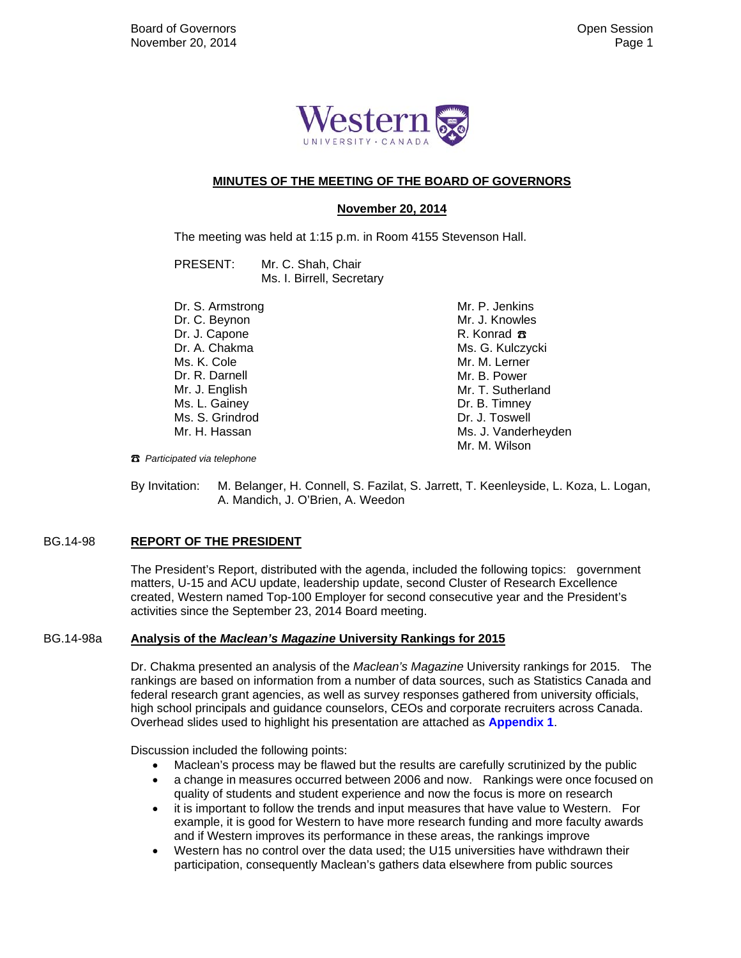

#### **MINUTES OF THE MEETING OF THE BOARD OF GOVERNORS**

#### **November 20, 2014**

The meeting was held at 1:15 p.m. in Room 4155 Stevenson Hall.

PRESENT: Mr. C. Shah, Chair Ms. I. Birrell, Secretary

Dr. S. Armstrong Dr. C. Beynon Dr. J. Capone Dr. A. Chakma Ms. K. Cole Dr. R. Darnell Mr. J. English Ms. L. Gainey Ms. S. Grindrod Mr. H. Hassan

 Mr. P. Jenkins Mr. J. Knowles R. Konrad **B** Ms. G. Kulczycki Mr. M. Lerner Mr. B. Power Mr. T. Sutherland Dr. B. Timney Dr. J. Toswell Ms. J. Vanderheyden Mr. M. Wilson

☎ *Participated via telephone*

By Invitation: M. Belanger, H. Connell, S. Fazilat, S. Jarrett, T. Keenleyside, L. Koza, L. Logan, A. Mandich, J. O'Brien, A. Weedon

#### BG.14-98 **REPORT OF THE PRESIDENT**

The President's Report, distributed with the agenda, included the following topics: government matters, U-15 and ACU update, leadership update, second Cluster of Research Excellence created, Western named Top-100 Employer for second consecutive year and the President's activities since the September 23, 2014 Board meeting.

#### BG.14-98a **Analysis of the** *Maclean's Magazine* **University Rankings for 2015**

Dr. Chakma presented an analysis of the *Maclean's Magazine* University rankings for 2015. The rankings are based on information from a number of data sources, such as Statistics Canada and federal research grant agencies, as well as survey responses gathered from university officials, high school principals and guidance counselors, CEOs and corporate recruiters across Canada. Overhead slides used to highlight his presentation are attached as **[Appendix 1](#page-4-0)**.

Discussion included the following points:

- Maclean's process may be flawed but the results are carefully scrutinized by the public
- a change in measures occurred between 2006 and now. Rankings were once focused on quality of students and student experience and now the focus is more on research
- it is important to follow the trends and input measures that have value to Western. For example, it is good for Western to have more research funding and more faculty awards and if Western improves its performance in these areas, the rankings improve
- Western has no control over the data used; the U15 universities have withdrawn their participation, consequently Maclean's gathers data elsewhere from public sources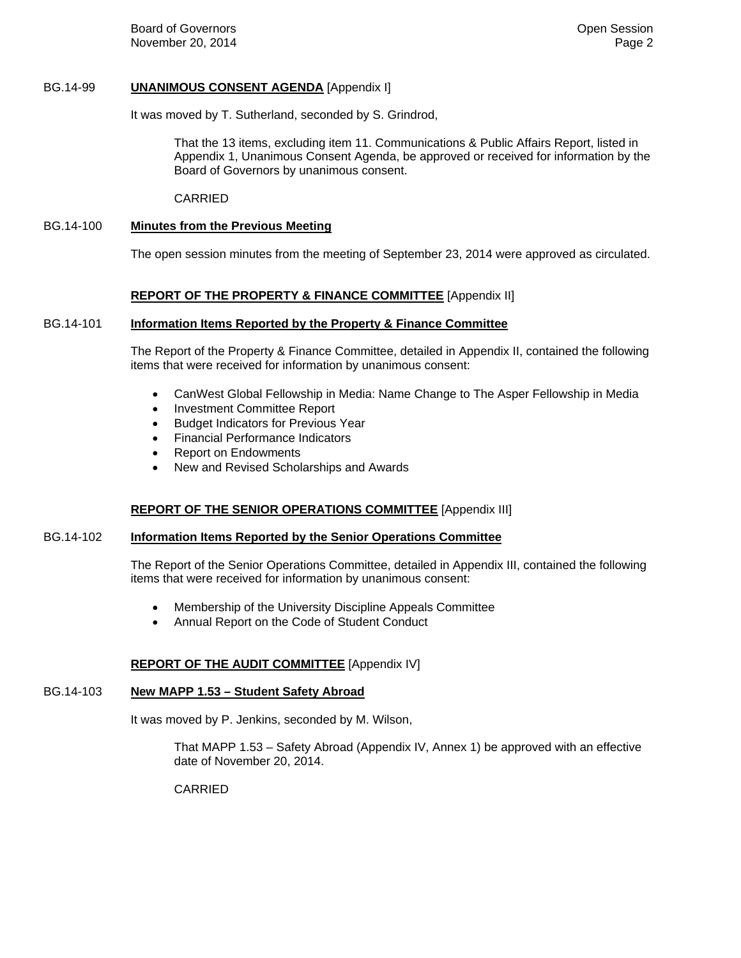**Board of Governors Contract Contract Contract Contract Contract Contract Contract Contract Contract Contract Contract Contract Contract Contract Contract Contract Contract Contract Contract Contract Contract Contract Co** November 20, 2014 **Page 2** 

#### BG.14-99 **UNANIMOUS CONSENT AGENDA** [Appendix I]

It was moved by T. Sutherland, seconded by S. Grindrod,

That the 13 items, excluding item 11. Communications & Public Affairs Report, listed in Appendix 1, Unanimous Consent Agenda, be approved or received for information by the Board of Governors by unanimous consent.

CARRIED

#### BG.14-100 **Minutes from the Previous Meeting**

The open session minutes from the meeting of September 23, 2014 were approved as circulated.

#### **REPORT OF THE PROPERTY & FINANCE COMMITTEE** [Appendix II]

#### BG.14-101 **Information Items Reported by the Property & Finance Committee**

The Report of the Property & Finance Committee, detailed in Appendix II, contained the following items that were received for information by unanimous consent:

- CanWest Global Fellowship in Media: Name Change to The Asper Fellowship in Media
- Investment Committee Report
- **•** Budget Indicators for Previous Year
- Financial Performance Indicators
- Report on Endowments
- New and Revised Scholarships and Awards

#### **REPORT OF THE SENIOR OPERATIONS COMMITTEE** [Appendix III]

#### BG.14-102 **Information Items Reported by the Senior Operations Committee**

The Report of the Senior Operations Committee, detailed in Appendix III, contained the following items that were received for information by unanimous consent:

- Membership of the University Discipline Appeals Committee
- Annual Report on the Code of Student Conduct

# **REPORT OF THE AUDIT COMMITTEE** [Appendix IV]

## BG.14-103 **New MAPP 1.53 – Student Safety Abroad**

It was moved by P. Jenkins, seconded by M. Wilson,

That MAPP 1.53 – Safety Abroad (Appendix IV, Annex 1) be approved with an effective date of November 20, 2014.

CARRIED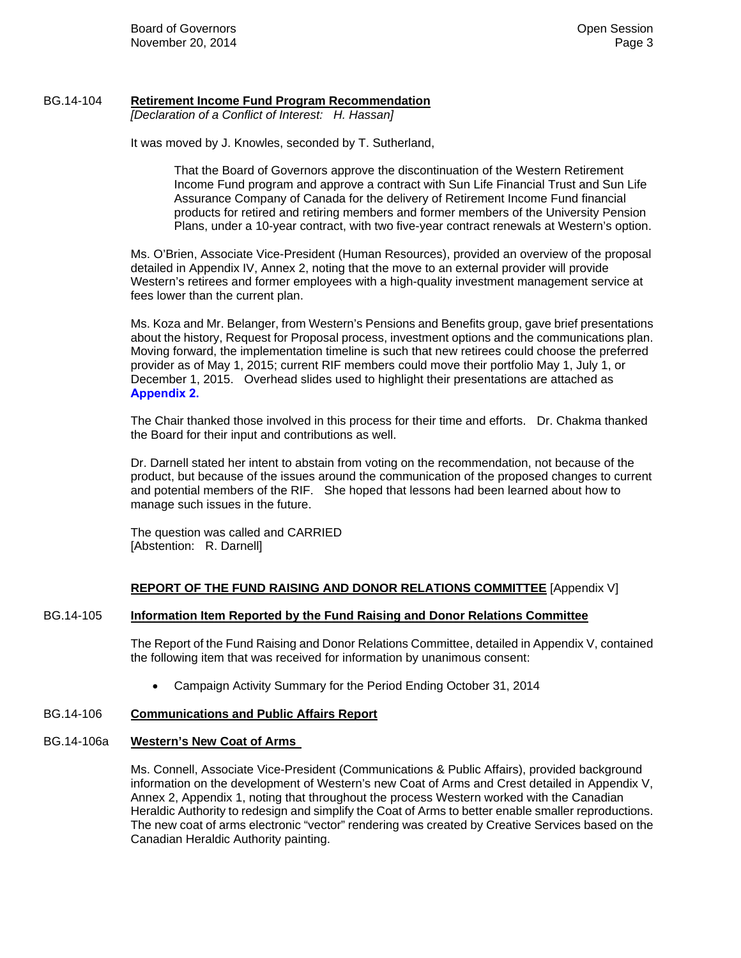#### BG.14-104 **Retirement Income Fund Program Recommendation**

*[Declaration of a Conflict of Interest: H. Hassan]* 

It was moved by J. Knowles, seconded by T. Sutherland,

That the Board of Governors approve the discontinuation of the Western Retirement Income Fund program and approve a contract with Sun Life Financial Trust and Sun Life Assurance Company of Canada for the delivery of Retirement Income Fund financial products for retired and retiring members and former members of the University Pension Plans, under a 10-year contract, with two five-year contract renewals at Western's option.

Ms. O'Brien, Associate Vice-President (Human Resources), provided an overview of the proposal detailed in Appendix IV, Annex 2, noting that the move to an external provider will provide Western's retirees and former employees with a high-quality investment management service at fees lower than the current plan.

Ms. Koza and Mr. Belanger, from Western's Pensions and Benefits group, gave brief presentations about the history, Request for Proposal process, investment options and the communications plan. Moving forward, the implementation timeline is such that new retirees could choose the preferred provider as of May 1, 2015; current RIF members could move their portfolio May 1, July 1, or December 1, 2015. Overhead slides used to highlight their presentations are attached as **[Appendix 2.](#page-7-0)**

The Chair thanked those involved in this process for their time and efforts. Dr. Chakma thanked the Board for their input and contributions as well.

Dr. Darnell stated her intent to abstain from voting on the recommendation, not because of the product, but because of the issues around the communication of the proposed changes to current and potential members of the RIF. She hoped that lessons had been learned about how to manage such issues in the future.

The question was called and CARRIED [Abstention: R. Darnell]

# **REPORT OF THE FUND RAISING AND DONOR RELATIONS COMMITTEE** [Appendix V]

#### BG.14-105 **Information Item Reported by the Fund Raising and Donor Relations Committee**

The Report of the Fund Raising and Donor Relations Committee, detailed in Appendix V, contained the following item that was received for information by unanimous consent:

Campaign Activity Summary for the Period Ending October 31, 2014

#### BG.14-106 **Communications and Public Affairs Report**

#### BG.14-106a **Western's New Coat of Arms**

Ms. Connell, Associate Vice-President (Communications & Public Affairs), provided background information on the development of Western's new Coat of Arms and Crest detailed in Appendix V, Annex 2, Appendix 1, noting that throughout the process Western worked with the Canadian Heraldic Authority to redesign and simplify the Coat of Arms to better enable smaller reproductions. The new coat of arms electronic "vector" rendering was created by Creative Services based on the Canadian Heraldic Authority painting.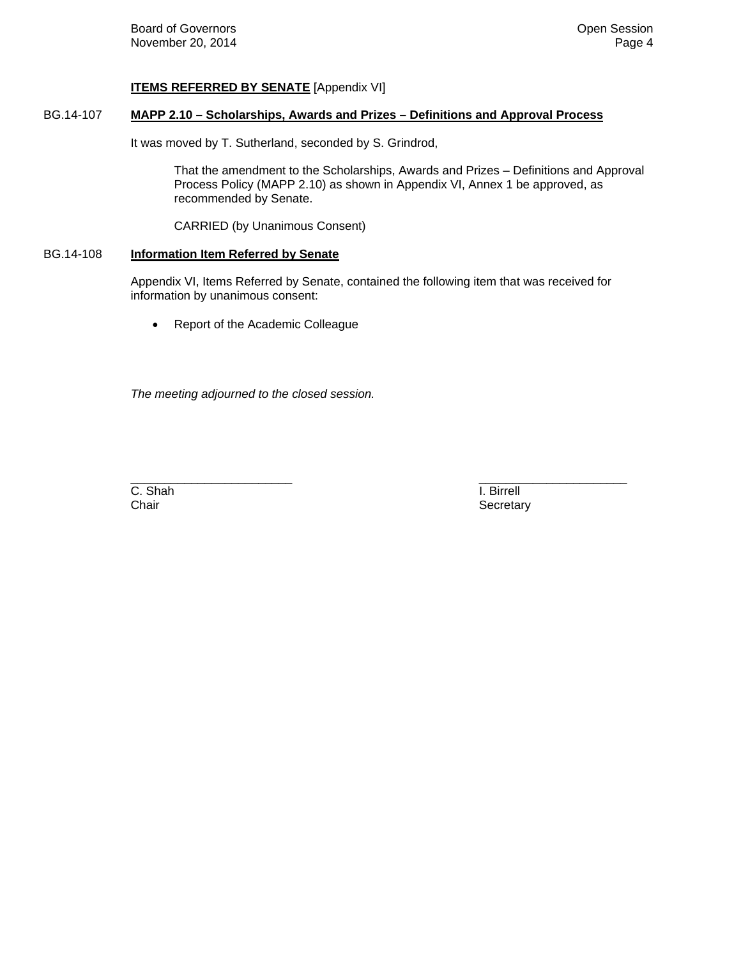## **ITEMS REFERRED BY SENATE** [Appendix VI]

## BG.14-107 **MAPP 2.10 – Scholarships, Awards and Prizes – Definitions and Approval Process**

It was moved by T. Sutherland, seconded by S. Grindrod,

That the amendment to the Scholarships, Awards and Prizes – Definitions and Approval Process Policy (MAPP 2.10) as shown in Appendix VI, Annex 1 be approved, as recommended by Senate.

CARRIED (by Unanimous Consent)

### BG.14-108 **Information Item Referred by Senate**

Appendix VI, Items Referred by Senate, contained the following item that was received for information by unanimous consent:

• Report of the Academic Colleague

*The meeting adjourned to the closed session.* 

C. Shah I. Birrell

\_\_\_\_\_\_\_\_\_\_\_\_\_\_\_\_\_\_\_\_\_\_\_\_ \_\_\_\_\_\_\_\_\_\_\_\_\_\_\_\_\_\_\_\_\_\_ Chair Secretary Secretary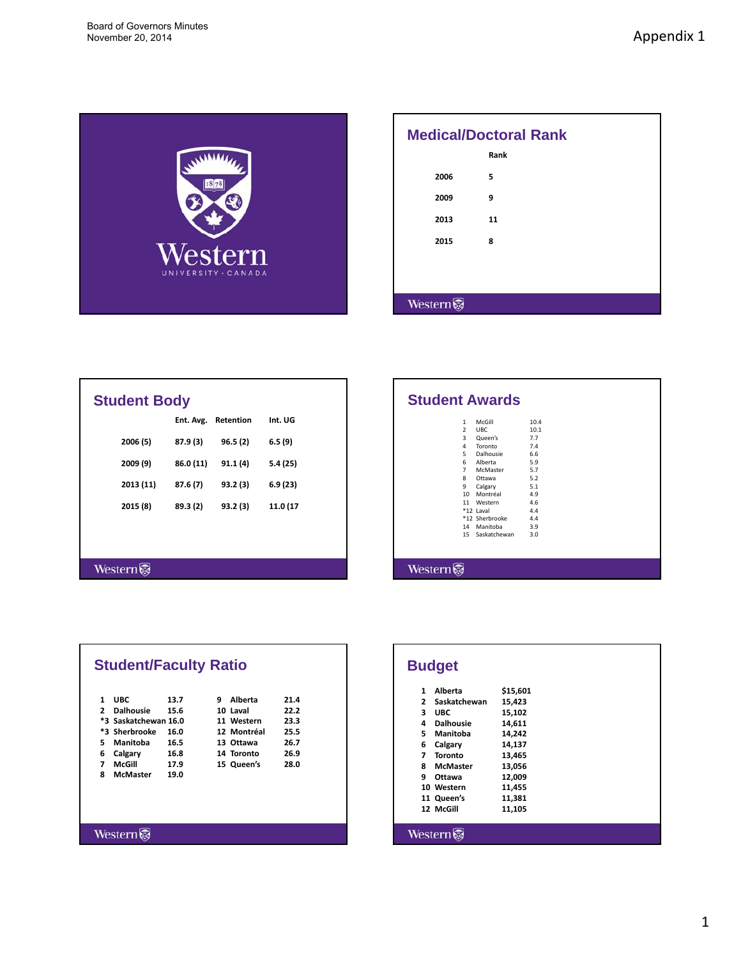<span id="page-4-0"></span>

| <b>Medical/Doctoral Rank</b> |      |  |  |  |
|------------------------------|------|--|--|--|
|                              | Rank |  |  |  |
| 2006                         | 5    |  |  |  |
| 2009                         | 9    |  |  |  |
| 2013                         | 11   |  |  |  |
| 2015                         | 8    |  |  |  |
|                              |      |  |  |  |
|                              |      |  |  |  |
| <b>Western</b>               |      |  |  |  |

| <b>Student Body</b> |           |           |          |
|---------------------|-----------|-----------|----------|
|                     | Ent. Avg. | Retention | Int. UG  |
| 2006 (5)            | 87.9 (3)  | 96.5(2)   | 6.5(9)   |
| 2009 (9)            | 86.0 (11) | 91.1(4)   | 5.4(25)  |
| 2013 (11)           | 87.6 (7)  | 93.2 (3)  | 6.9(23)  |
| 2015 (8)            | 89.3 (2)  | 93.2 (3)  | 11.0 (17 |
|                     |           |           |          |
|                     |           |           |          |
| Western             |           |           |          |
|                     |           |           |          |

| 1              | McGill          | 10.4 |
|----------------|-----------------|------|
| $\overline{2}$ | <b>UBC</b>      | 10.1 |
| 3              | Queen's         | 7.7  |
| 4              | Toronto         | 7.4  |
| 5.             | Dalhousie       | 6.6  |
| 6              | Alberta         | 5.9  |
| $\overline{7}$ | <b>McMaster</b> | 5.7  |
| 8              | Ottawa          | 5.2  |
| 9              | Calgary         | 5.1  |
| $10-10$        | Montréal        | 4.9  |
| 11             | Western         | 4.6  |
|                | *12 Laval       | 4.4  |
|                | *12 Sherbrooke  | 4.4  |
| 14             | Manitoba        | 3.9  |
|                | 15 Saskatchewan | 3.0  |

|                | <b>Student/Faculty Ratio</b> |      |   |             |      |
|----------------|------------------------------|------|---|-------------|------|
| 1              | <b>UBC</b>                   | 13.7 | q | Alberta     | 21.4 |
| $\overline{2}$ | <b>Dalhousie</b>             | 15.6 |   | 10 Laval    | 22.2 |
|                | *3 Saskatchewan 16.0         |      |   | 11 Western  | 23.3 |
|                | *3 Sherbrooke                | 16.0 |   | 12 Montréal | 25.5 |
| 5.             | Manitoba                     | 16.5 |   | 13 Ottawa   | 26.7 |
| 6              | Calgary                      | 16.8 |   | 14 Toronto  | 26.9 |
| 7              | McGill                       | 17.9 |   | 15 Queen's  | 28.0 |
| 8              | <b>McMaster</b>              | 19.0 |   |             |      |

Western $\widehat{\mathbb{S}}$ 

|                | <b>Budget</b>    |          |
|----------------|------------------|----------|
| 1              | Alberta          | \$15,601 |
| $\overline{2}$ | Saskatchewan     | 15,423   |
| 3              | <b>UBC</b>       | 15,102   |
| 4              | <b>Dalhousie</b> | 14,611   |
| 5.             | Manitoba         | 14,242   |
| 6              | Calgary          | 14,137   |
| 7              | <b>Toronto</b>   | 13,465   |
| 8              | <b>McMaster</b>  | 13,056   |
| 9              | Ottawa           | 12,009   |
|                | 10 Western       | 11,455   |
|                | 11 Queen's       | 11,381   |
|                | 12 McGill        | 11,105   |
| Western        |                  |          |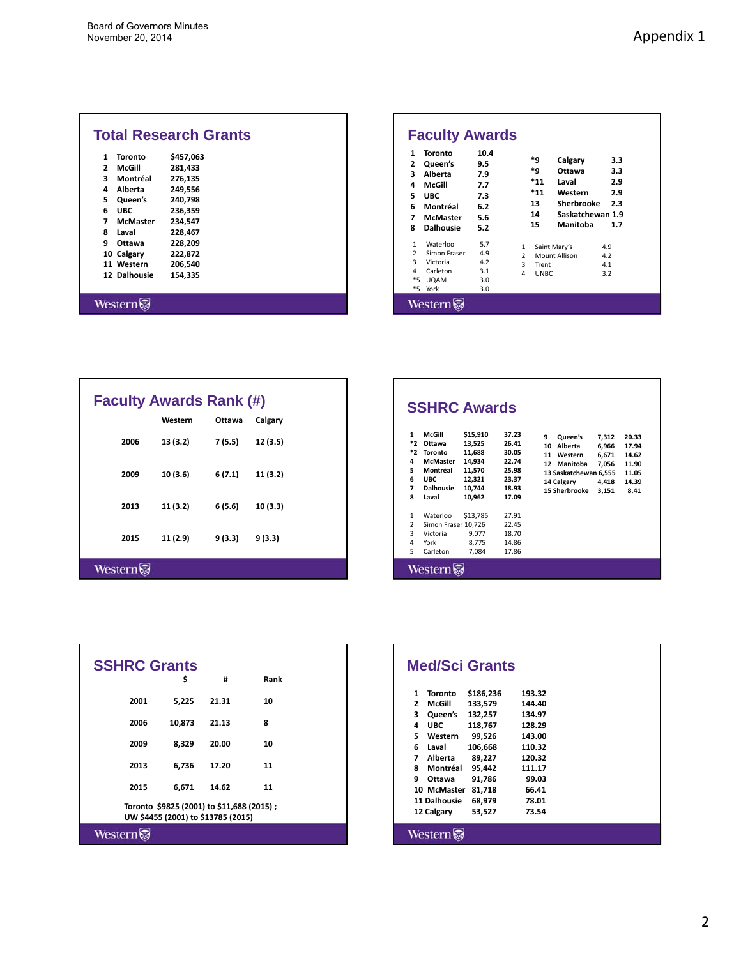| 1              | Toronto         | \$457,063 |  |
|----------------|-----------------|-----------|--|
| $\overline{2}$ | McGill          | 281,433   |  |
| 3              | Montréal        | 276,135   |  |
| 4              | Alberta         | 249,556   |  |
| 5.             | Queen's         | 240,798   |  |
| 6              | <b>UBC</b>      | 236,359   |  |
| 7              | <b>McMaster</b> | 234,547   |  |
| 8              | Laval           | 228,467   |  |
| ٩              | Ottawa          | 228,209   |  |
|                | 10 Calgary      | 222,872   |  |
|                | 11 Western      | 206,540   |  |
|                | 12 Dalhousie    | 154,335   |  |

| Toronto<br>Queen's<br>Alberta<br>McGill<br><b>UBC</b><br>Montréal<br><b>McMaster</b><br><b>Dalhousie</b> | 10.4<br>9.5<br>7.9<br>7.7<br>7.3<br>6.2<br>5.6<br>5.2 |                                         | *9<br>*q<br>$*_{11}$<br>$*_{11}$<br>13<br>14<br>15 | Calgary<br>Ottawa<br>Laval<br>Western<br>Sherbrooke<br>Saskatchewan 1.9<br>Manitoba | 3.3<br>3.3<br>2.9<br>2.9<br>2.3<br>1.7 |
|----------------------------------------------------------------------------------------------------------|-------------------------------------------------------|-----------------------------------------|----------------------------------------------------|-------------------------------------------------------------------------------------|----------------------------------------|
| Waterloo<br>Simon Fraser<br>Victoria<br>Carleton<br>$*5$<br><b>UQAM</b><br>*5<br>York                    | 5.7<br>4.9<br>4.2<br>3.1<br>3.0<br>3.0                | 1<br>$\overline{\phantom{a}}$<br>3<br>4 | Trent<br>UNBC.                                     | Saint Mary's<br>Mount Allison                                                       | 4.9<br>4.2<br>4.1<br>3.2               |

| <b>Faculty Awards Rank (#)</b> |          |         |          |
|--------------------------------|----------|---------|----------|
|                                | Western  | Ottawa  | Calgary  |
| 2006                           | 13 (3.2) | 7 (5.5) | 12(3.5)  |
| 2009                           | 10 (3.6) | 6 (7.1) | 11 (3.2) |
| 2013                           | 11(3.2)  | 6(5.6)  | 10(3.3)  |
| 2015                           | 11 (2.9) | 9(3.3)  | 9(3.3)   |
| Western                        |          |         |          |

| 1<br>*2<br>*2<br>4<br>5<br>6<br>$\overline{\phantom{a}}$<br>8 | McGill<br>Ottawa<br><b>Toronto</b><br><b>McMaster</b><br>Montréal<br><b>UBC</b><br><b>Dalhousie</b><br>Laval | \$15,910<br>13,525<br>11,688<br>14,934<br>11,570<br>12,321<br>10,744<br>10.962 | 37.23<br>26.41<br>30.05<br>22.74<br>25.98<br>23.37<br>18.93<br>17.09 | ٩<br>Queen's<br>Alberta<br>10<br>11<br>Western<br>12<br>Manitoba<br>13 Saskatchewan 6,555<br>14 Calgary<br>15 Sherbrooke | 7,312<br>6,966<br>6.671<br>7,056<br>4,418<br>3,151 | 20.33<br>17.94<br>14.62<br>11.90<br>11.05<br>14.39<br>8.41 |
|---------------------------------------------------------------|--------------------------------------------------------------------------------------------------------------|--------------------------------------------------------------------------------|----------------------------------------------------------------------|--------------------------------------------------------------------------------------------------------------------------|----------------------------------------------------|------------------------------------------------------------|
| 1<br>$\overline{2}$<br>3                                      | Waterloo<br>Simon Fraser 10,726<br>Victoria                                                                  | \$13,785<br>9,077                                                              | 27.91<br>22.45<br>18.70                                              |                                                                                                                          |                                                    |                                                            |
| 4<br>5.                                                       | York<br>Carleton                                                                                             | 8.775<br>7.084                                                                 | 14.86<br>17.86                                                       |                                                                                                                          |                                                    |                                                            |

| <b>SSHRC Grants</b> |                                                                                 |       |      |
|---------------------|---------------------------------------------------------------------------------|-------|------|
|                     | \$                                                                              | #     | Rank |
| 2001                | 5,225                                                                           | 21.31 | 10   |
| 2006                | 10,873                                                                          | 21.13 | 8    |
| 2009                | 8,329                                                                           | 20.00 | 10   |
| 2013                | 6,736                                                                           | 17.20 | 11   |
| 2015                | 6,671                                                                           | 14.62 | 11   |
|                     | Toronto \$9825 (2001) to \$11,688 (2015);<br>UW \$4455 (2001) to \$13785 (2015) |       |      |
| Western             |                                                                                 |       |      |

|                |              | <b>Med/Sci Grants</b> |        |  |
|----------------|--------------|-----------------------|--------|--|
| 1              | Toronto      | \$186.236             | 193.32 |  |
| $\overline{ }$ | McGill       | 133.579               | 144.40 |  |
| 3              | Queen's      | 132,257               | 134.97 |  |
| 4              | <b>UBC</b>   | 118,767               | 128.29 |  |
| 5.             | Western      | 99,526                | 143.00 |  |
| 6              | Laval        | 106,668               | 110.32 |  |
| 7              | Alberta      | 89,227                | 120.32 |  |
| 8              | Montréal     | 95,442                | 111.17 |  |
| ٩              | Ottawa       | 91,786                | 99.03  |  |
|                | 10 McMaster  | 81,718                | 66.41  |  |
|                | 11 Dalhousie | 68,979                | 78.01  |  |
|                | 12 Calgary   | 53,527                | 73.54  |  |
|                | Western      |                       |        |  |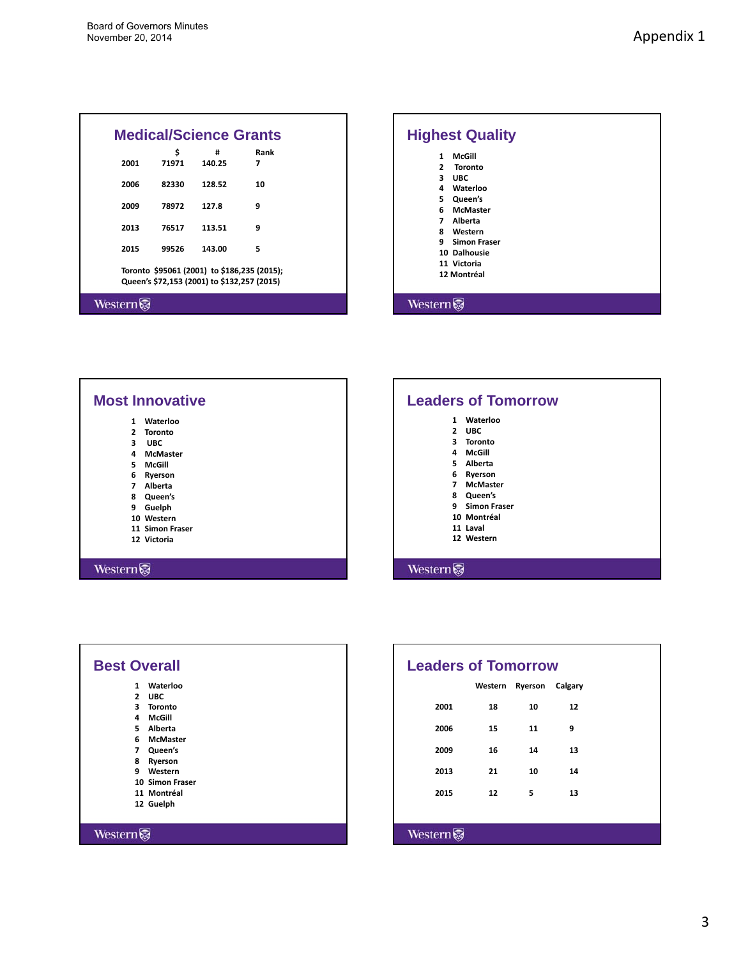|        | <b>Medical/Science Grants</b>                                                              |             |           |  |
|--------|--------------------------------------------------------------------------------------------|-------------|-----------|--|
| 2001   | Ś<br>71971                                                                                 | #<br>140.25 | Rank<br>7 |  |
| 2006   | 82330                                                                                      | 128.52      | 10        |  |
| 2009   | 78972                                                                                      | 127.8       | 9         |  |
| 2013   | 76517                                                                                      | 113.51      | 9         |  |
| 2015   | 99526                                                                                      | 143.00      | 5         |  |
|        | Toronto \$95061 (2001) to \$186,235 (2015);<br>Queen's \$72,153 (2001) to \$132,257 (2015) |             |           |  |
| Wester |                                                                                            |             |           |  |



| Waterloo<br>1                    |
|----------------------------------|
| $\overline{2}$<br><b>Toronto</b> |
| 3<br><b>UBC</b>                  |
| 4<br><b>McMaster</b>             |
| 5.<br>McGill                     |
| 6<br>Ryerson                     |
| $\overline{ }$<br>Alberta        |
| 8 Queen's                        |
| 9<br>Guelph                      |
| 10 Western                       |
| 11 Simon Fraser                  |
| 12 Victoria                      |
|                                  |

|                | <b>Leaders of Tomorrow</b> |
|----------------|----------------------------|
| 1              | Waterloo                   |
| $\overline{2}$ | <b>UBC</b>                 |
|                | 3 Toronto                  |
|                | 4<br>McGill                |
|                | 5 Alberta                  |
|                | 6<br>Ryerson               |
|                | 7 McMaster                 |
|                | 8 Queen's                  |
| 9              | <b>Simon Fraser</b>        |
|                | 10 Montréal                |
|                | 11 Laval                   |
|                | 12 Western                 |
|                |                            |
| Wester         |                            |

| <b>Best Overall</b> |                 |
|---------------------|-----------------|
| 1                   | Waterloo        |
| $\overline{2}$      | <b>UBC</b>      |
| 3                   | <b>Toronto</b>  |
| 4                   | McGill          |
| 5.                  | Alberta         |
|                     | 6 McMaster      |
|                     | 7 Queen's       |
| 8                   | Ryerson         |
| ٩                   | Western         |
|                     | 10 Simon Fraser |
|                     | 11 Montréal     |
|                     | 12 Guelph       |
|                     |                 |

Western  $\overline{\mathcal{G}}$ 

| <b>Leaders of Tomorrow</b> |         |                        |    |
|----------------------------|---------|------------------------|----|
|                            | Western | <b>Ryerson Calgary</b> |    |
| 2001                       | 18      | 10                     | 12 |
| 2006                       | 15      | 11                     | 9  |
| 2009                       | 16      | 14                     | 13 |
| 2013                       | 21      | 10                     | 14 |
| 2015                       | 12      | 5                      | 13 |
|                            |         |                        |    |
| Western                    |         |                        |    |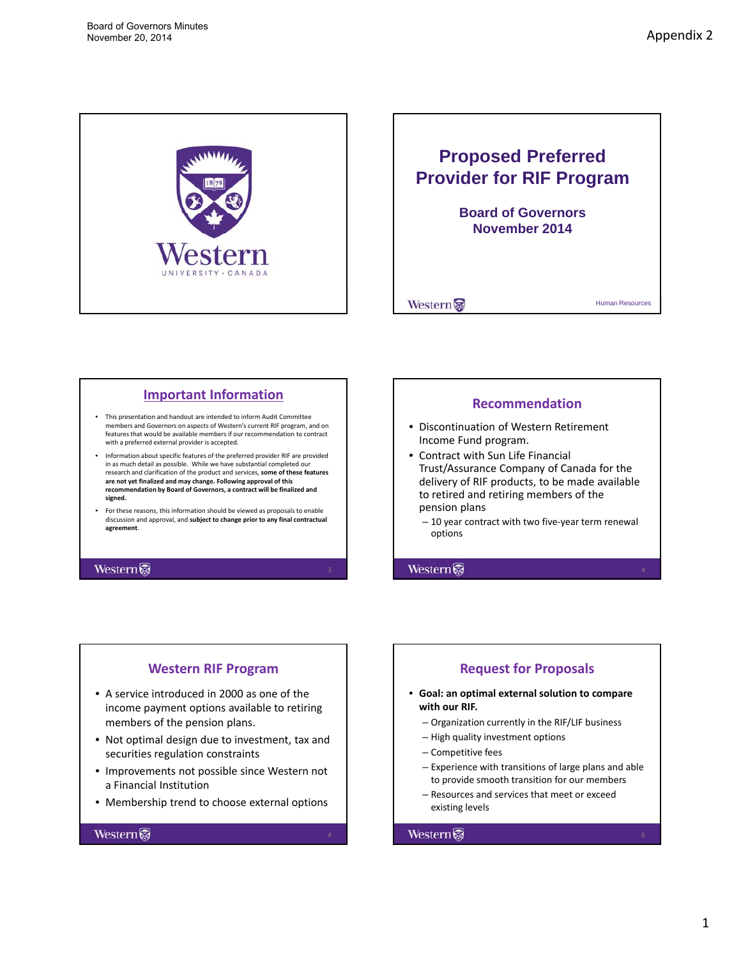<span id="page-7-0"></span>

# **Proposed Preferred Provider for RIF Program Board of Governors Board of November 2014**

Western

Human Resources

# **Important Information**

- This presentation and handout are intended to inform Audit Committee members and Governors on aspects of Western's current RIF program, and on features that would be available members if our recommendation to contract with a preferred external provider is accepted.
- Information about specific features of the preferred provider RIF are provided in as much detail as possible. While we have substantial completed our research and clarification of the product and services, **some of these features** are not yet finalized and may change. Following approval of this<br>recommendation by Board of Governors, a contract will be finalized and **signed.**
- For these reasons, this information should be viewed as proposals to enable discussion and approval, and **subject to change prior to any final contractual agreement**.

# **Western**

# **Recommendation**

- Discontinuation of Western Retirement Income Fund program.
- Contract with Sun Life Financial Trust/Assurance Company of Canada for the delivery of RIF products, to be made available to retired and retiring members of the pension plans
	- 10 year contract with two five‐year term renewal options

Western

# **Western RIF Program**

- A service introduced in 2000 as one of the income payment options available to retiring members of the pension plans.
- Not optimal design due to investment, tax and securities regulation constraints
- Improvements not possible since Western not a Financial Institution
- Membership trend to choose external options

#### Western

# **Request for Proposals**

- **Goal: an optimal external solution to compare with our RIF.**
	- Organization currently in the RIF/LIF business
	- High quality investment options
	- Competitive fees
	- Experience with transitions of large plans and able to provide smooth transition for our members
	- Resources and services that meet or exceed existing levels

#### Western

1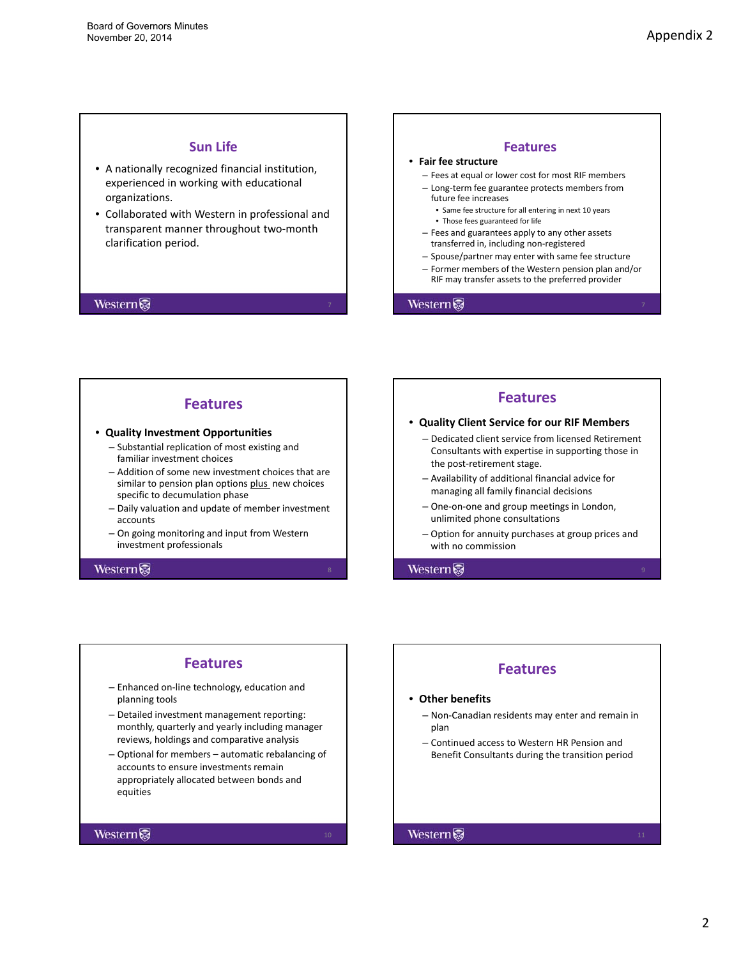# **Sun Life**

- A nationally recognized financial institution, experienced in working with educational organizations.
- Collaborated with Western in professional and transparent manner throughout two‐month clarification period.

#### Western

# **Features** • **Fair fee structure** – Fees at equal or lower cost for most RIF members – Long‐term fee guarantee protects members from future fee increases • Same fee structure for all entering in next 10 years • Those fees guaranteed for life – Fees and guarantees apply to any other assets transferred in, including non‐registered – Spouse/partner may enter with same fee structure – Former members of the Western pension plan and/or RIF may transfer assets to the preferred provider

Western

# **Features**

#### • **Quality Investment Opportunities**

- Substantial replication of most existing and familiar investment choices
- Addition of some new investment choices that are similar to pension plan options plus new choices specific to decumulation phase
- Daily valuation and update of member investment accounts
- On going monitoring and input from Western investment professionals

#### Western

# **Features** • **Quality Client Service for our RIF Members** – Dedicated client service from licensed Retirement Consultants with expertise in supporting those in the post‐retirement stage.  $-$  Availability of additional financial advice for managing all family financial decisions – One‐on‐one and group meetings in London, unlimited phone consultations

– Option for annuity purchases at group prices and with no commission

Western

#### **Features**

- Enhanced on‐line technology, education and planning tools
- Detailed investment management reporting: monthly, quarterly and yearly including manager reviews, holdings and comparative analysis
- Optional for members automatic rebalancing of accounts to ensure investments remain appropriately allocated between bonds and equities

#### Western

# **Features**

#### • **Other benefits**

- Non‐Canadian residents may enter and remain in plan
- Continued access to Western HR Pension and Benefit Consultants during the transition period

#### Western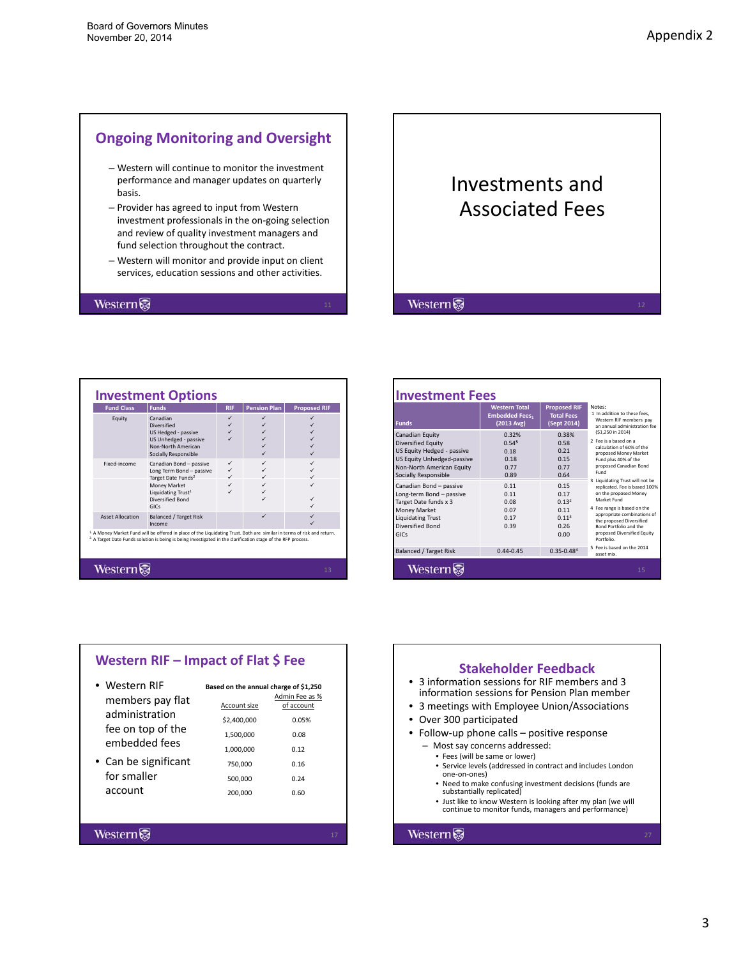# **Ongoing Monitoring and Oversight**

- Western will continue to monitor the investment performance and manager updates on quarterly basis.
- Provider has agreed to input from Western investment professionals in the on‐going selection and review of quality investment managers and fund selection throughout the contract.
- Western will monitor and provide input on client services, education sessions and other activities.

#### Western

# Investments and Associated Fees

Western

| <b>Fund Class</b>       | <b>Funds</b>                                                                                                                                                                                                                                                 | <b>RIF</b> | <b>Pension Plan</b> | <b>Proposed RIF</b> |
|-------------------------|--------------------------------------------------------------------------------------------------------------------------------------------------------------------------------------------------------------------------------------------------------------|------------|---------------------|---------------------|
| Equity                  | Canadian<br><b>Diversified</b><br>US Hedged - passive<br>US Unhedged - passive<br>Non-North American<br>Socially Responsible                                                                                                                                 | ✓          |                     |                     |
| Fixed-income            | Canadian Bond - passive<br>Long Term Bond - passive<br>Target Date Funds <sup>2</sup><br>Money Market<br>Liquidating Trust <sup>1</sup><br>Diversified Bond<br>GICS                                                                                          | ✓          |                     |                     |
| <b>Asset Allocation</b> | <b>Balanced / Target Risk</b><br>Income                                                                                                                                                                                                                      |            | ✓                   |                     |
|                         | <sup>1</sup> A Money Market Fund will be offered in place of the Liquidating Trust. Both are similar in terms of risk and return.<br><sup>2</sup> A Target Date Funds solution is being is being investigated in the clarification stage of the RFP process. |            |                     |                     |

| <b>Funds</b>                                                                                                                                                                      | <b>Western Total</b><br><b>Embedded Fees,</b><br>$(2013 \text{ Avg})$ | <b>Proposed RIF</b><br><b>Total Fees</b><br>(Sept 2014)                | Notes:<br>1 In addition to these fees.<br>Western RIF members pay<br>an annual administration fee                                                                                                                               |
|-----------------------------------------------------------------------------------------------------------------------------------------------------------------------------------|-----------------------------------------------------------------------|------------------------------------------------------------------------|---------------------------------------------------------------------------------------------------------------------------------------------------------------------------------------------------------------------------------|
| Canadian Equity<br>Diversified Equity<br>US Equity Hedged - passive<br>US Equity Unhedged-passive<br>Non-North American Equity<br>Socially Responsible<br>Canadian Bond - passive | 0.32%<br>0.54 <sup>5</sup><br>0.18<br>0.18<br>0.77<br>0.89<br>0.11    | 0.38%<br>0.58<br>0.21<br>0.15<br>0.77<br>0.64<br>0.15                  | (\$1.250 in 2014)<br>2. Fee is a based on a<br>calculation of 60% of the<br>proposed Money Market<br>Fund plus 40% of the<br>proposed Canadian Bond<br>Fund<br>3 Liquidating Trust will not be<br>replicated. Fee is based 100% |
| Long-term Bond - passive<br>Target Date funds x 3<br><b>Money Market</b><br><b>Liquidating Trust</b><br>Diversified Bond<br>GICS                                                  | 0.11<br>0.08<br>0.07<br>0.17<br>0.39                                  | 0.17<br>0.13 <sup>2</sup><br>0.11<br>0.11 <sup>3</sup><br>0.26<br>0.00 | on the proposed Money<br>Market Fund<br>4 Fee range is based on the<br>appropriate combinations of<br>the proposed Diversified<br>Bond Portfolio and the<br>proposed Diversified Equity<br>Portfolio.                           |
| <b>Balanced / Target Risk</b>                                                                                                                                                     | $0.44 - 0.45$                                                         | $0.35 - 0.484$                                                         | 5 Fee is based on the 2014<br>asset mix.                                                                                                                                                                                        |